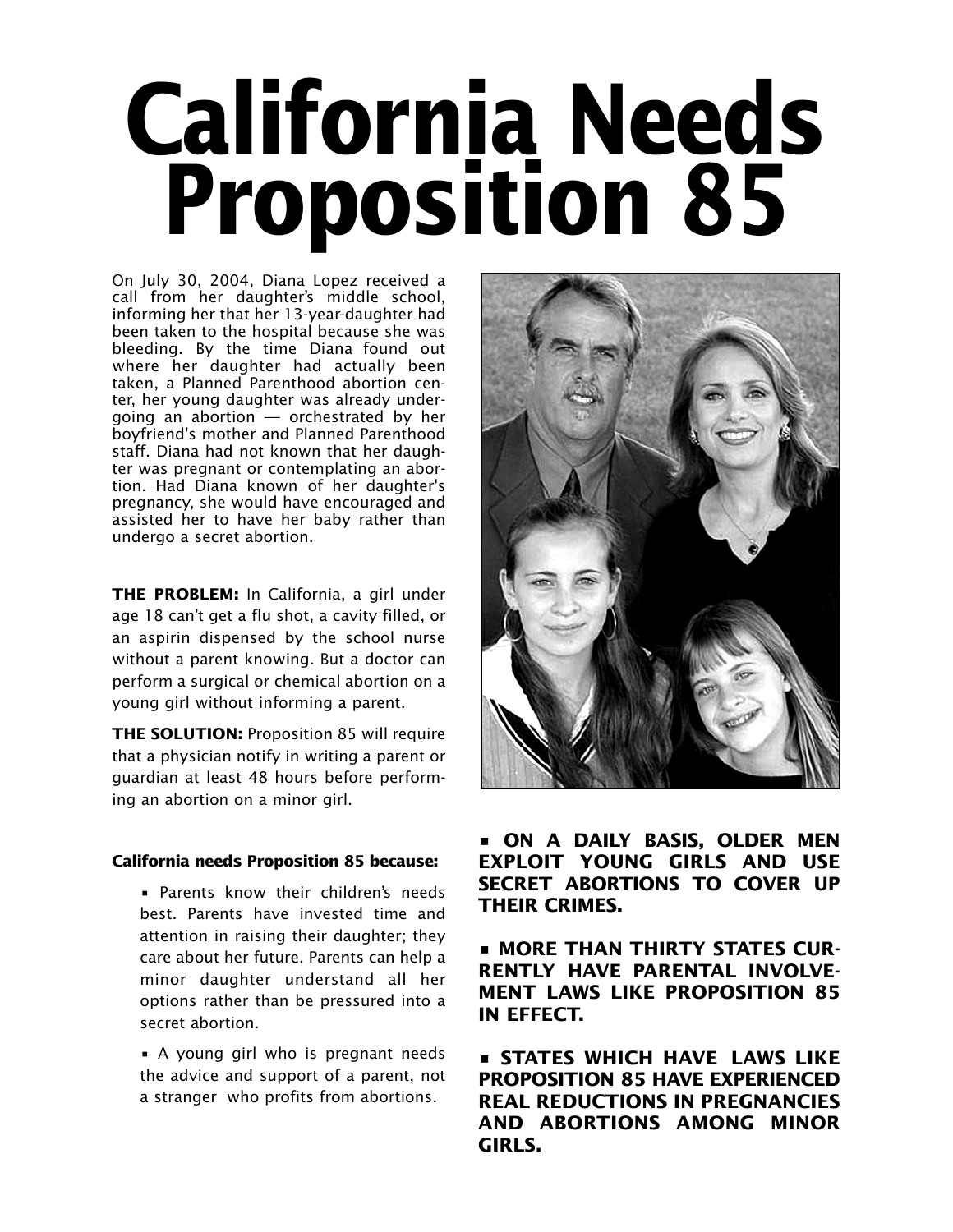# **California Needs Proposition 85**

On July 30, 2004, Diana Lopez received a call from her daughter's middle school, informing her that her 13-year-daughter had been taken to the hospital because she was bleeding. By the time Diana found out where her daughter had actually been taken, a Planned Parenthood abortion center, her young daughter was already undergoing an abortion — orchestrated by her boyfriend's mother and Planned Parenthood staff. Diana had not known that her daughter was pregnant or contemplating an abortion. Had Diana known of her daughter's pregnancy, she would have encouraged and assisted her to have her baby rather than undergo a secret abortion.

**THE PROBLEM:** In California, a girl under age 18 can't get a flu shot, a cavity filled, or an aspirin dispensed by the school nurse without a parent knowing. But a doctor can perform a surgical or chemical abortion on a young girl without informing a parent.

**THE SOLUTION:** Proposition 85 will require that a physician notify in writing a parent or guardian at least 48 hours before performing an abortion on a minor girl.

#### **California needs Proposition 85 because:**

• Parents know their children's needs best. Parents have invested time and attention in raising their daughter; they care about her future. Parents can help a minor daughter understand all her options rather than be pressured into a secret abortion.

• A young girl who is pregnant needs the advice and support of a parent, not a stranger who profits from abortions.



**• ON A DAILY BASIS, OLDER MEN EXPLOIT YOUNG GIRLS AND USE SECRET ABORTIONS TO COVER UP THEIR CRIMES.**

**• MORE THAN THIRTY STATES CUR-RENTLY HAVE PARENTAL INVOLVE-MENT LAWS LIKE PROPOSITION 85 IN EFFECT.**

**• STATES WHICH HAVE LAWS LIKE PROPOSITION 85 HAVE EXPERIENCED REAL REDUCTIONS IN PREGNANCIES AND ABORTIONS AMONG MINOR GIRLS.**